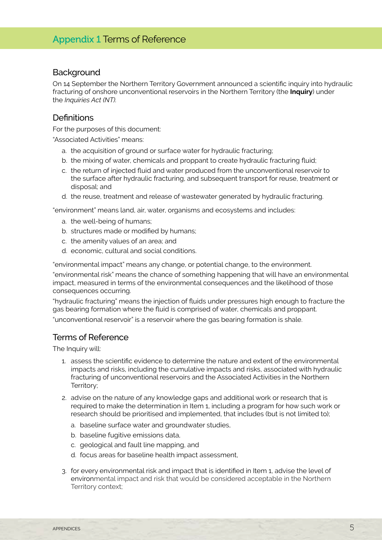## **Background**

On 14 September the Northern Territory Government announced a scientific inquiry into hydraulic fracturing of onshore unconventional reservoirs in the Northern Territory (the **Inquiry**) under the *Inquiries Act (NT).*

## Definitions

For the purposes of this document:

"Associated Activities" means:

- a. the acquisition of ground or surface water for hydraulic fracturing;
- b. the mixing of water, chemicals and proppant to create hydraulic fracturing fluid;
- c. the return of injected fluid and water produced from the unconventional reservoir to the surface after hydraulic fracturing, and subsequent transport for reuse, treatment or disposal; and
- d. the reuse, treatment and release of wastewater generated by hydraulic fracturing.

"environment" means land, air, water, organisms and ecosystems and includes:

- a. the well-being of humans;
- b. structures made or modified by humans;
- c. the amenity values of an area; and
- d. economic, cultural and social conditions.

"environmental impact" means any change, or potential change, to the environment.

"environmental risk" means the chance of something happening that will have an environmental impact, measured in terms of the environmental consequences and the likelihood of those consequences occurring.

"hydraulic fracturing" means the injection of fluids under pressures high enough to fracture the gas bearing formation where the fluid is comprised of water, chemicals and proppant.

"unconventional reservoir" is a reservoir where the gas bearing formation is shale.

## Terms of Reference

The Inquiry will:

- 1. assess the scientific evidence to determine the nature and extent of the environmental impacts and risks, including the cumulative impacts and risks, associated with hydraulic fracturing of unconventional reservoirs and the Associated Activities in the Northern Territory;
- 2. advise on the nature of any knowledge gaps and additional work or research that is required to make the determination in Item 1, including a program for how such work or research should be prioritised and implemented, that includes (but is not limited to);
	- a. baseline surface water and groundwater studies,
	- b. baseline fugitive emissions data,
	- c. geological and fault line mapping, and
	- d. focus areas for baseline health impact assessment,
- 3. for every environmental risk and impact that is identified in Item 1, advise the level of environmental impact and risk that would be considered acceptable in the Northern Territory context;